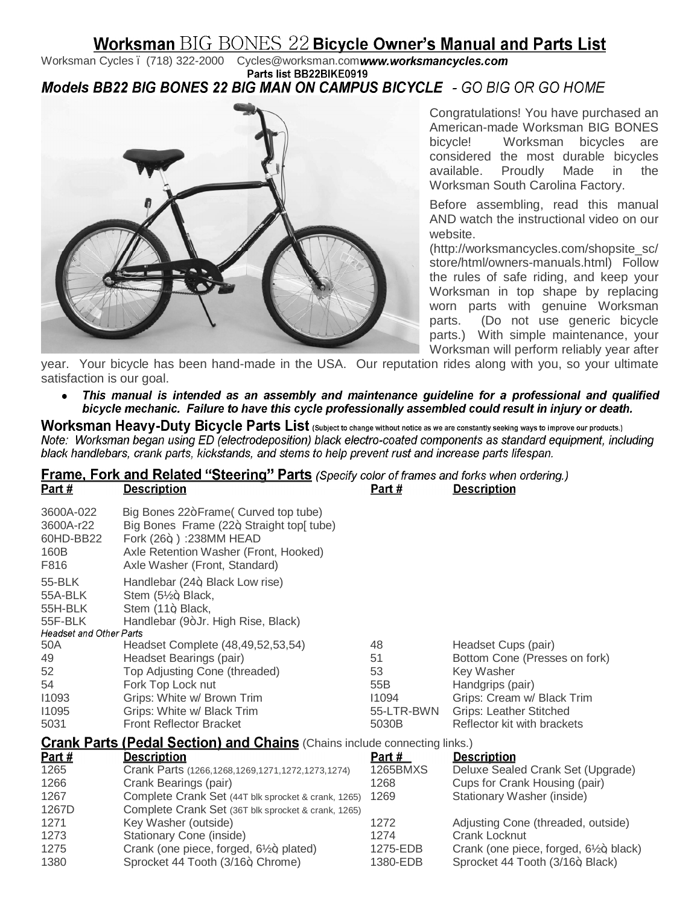# **Worksman BIG BONES 22 Bicycle Owner's Manual and Parts List**

Worksman Cycles . (718) 322-2000 Cycles@worksman.comwww.worksmancycles.com<br>Parts list BB22BIKE0919 Models BB22 BIG BONES 22 BIG MAN ON CAMPUS BICYCLE - GO BIG OR GO HOME



 $\mathbf{r}$  and  $\mathbf{r}$ 

Congratulations! You have purchased an American-made Worksman BIG BONES bicycle! Worksman bicycles are considered the most durable bicycles available. Proudly Made in the Worksman South Carolina Factory.

Before assembling, read this manual AND watch the instructional video on our website.

(http://worksmancycles.com/shopsite\_sc/ store/html/owners-manuals.html) Follow the rules of safe riding, and keep your Worksman in top shape by replacing worn parts with genuine Worksman parts. (Do not use generic bicycle parts.) With simple maintenance, your Worksman will perform reliably year after

year. Your bicycle has been hand-made in the USA. Our reputation rides along with you, so your ultimate satisfaction is our goal.

This manual is intended as an assembly and maintenance guideline for a professional and qualified bicycle mechanic. Failure to have this cycle professionally assembled could result in injury or death.

Worksman Heavy-Duty Bicycle Parts List (Subject to change without notice as we are constantly seeking ways to improve our products.) Note: Worksman began using ED (electrodeposition) black electro-coated components as standard equipment, including black handlebars, crank parts, kickstands, and stems to help prevent rust and increase parts lifespan.

| <b>Frame, Fork and Related "Steering" Parts</b> (Specify color of frames and forks when ordering.) |                                          |        |                    |  |
|----------------------------------------------------------------------------------------------------|------------------------------------------|--------|--------------------|--|
| Part #                                                                                             | <u>Description</u>                       | Part # | <b>Description</b> |  |
| 3600A-022                                                                                          | Big Bones 22+Frame (Curved top tube)     |        |                    |  |
| 3600A-r22                                                                                          | Big Bones Frame (22+ Straight top[ tube) |        |                    |  |
| 60HD-BB22                                                                                          | Fork $(26+)$ : 238MM HEAD                |        |                    |  |
| 160B                                                                                               | Axle Retention Washer (Front, Hooked)    |        |                    |  |

| <b>Crank Parts (Pedal Section) and Chains (Chains include connecting links.)</b> |                                              |            |                                |
|----------------------------------------------------------------------------------|----------------------------------------------|------------|--------------------------------|
| 5031                                                                             | <b>Front Reflector Bracket</b>               | 5030B      | Reflector kit with brackets    |
| 11095                                                                            | Grips: White w/ Black Trim                   | 55-LTR-BWN | <b>Grips: Leather Stitched</b> |
| 11093                                                                            | Grips: White w/ Brown Trim                   | 11094      | Grips: Cream w/ Black Trim     |
| 54                                                                               | Fork Top Lock nut                            | 55B        | Handgrips (pair)               |
| 52                                                                               | Top Adjusting Cone (threaded)                | 53         | Key Washer                     |
| 49                                                                               | Headset Bearings (pair)                      | 51         | Bottom Cone (Presses on fork)  |
| 50A                                                                              | Headset Complete (48,49,52,53,54)            | 48         | Headset Cups (pair)            |
| <b>Headset and Other Parts</b>                                                   |                                              |            |                                |
| 55F-BLK                                                                          | Handlebar (9+Jr. High Rise, Black)           |            |                                |
| 55H-BLK                                                                          | Stem (11+, Black,                            |            |                                |
| 55A-BLK                                                                          | Stem $(5\frac{1}{2}$ Black,                  |            |                                |
| 55-BLK                                                                           | Handlebar (24+, Black Low rise)              |            |                                |
| F816                                                                             | Axle Washer (Front, Standard)                |            |                                |
| .                                                                                | $1.0001001100111101101111101101111100110011$ |            |                                |

| Part $#$ | <b>Description</b>                                     | <b>Part #</b> | <b>Description</b>                    |
|----------|--------------------------------------------------------|---------------|---------------------------------------|
| 1265     | Crank Parts (1266, 1268, 1269, 1271, 1272, 1273, 1274) | 1265BMXS      | Deluxe Sealed Crank Set (Upgrade)     |
| 1266     | Crank Bearings (pair)                                  | 1268          | Cups for Crank Housing (pair)         |
| 1267     | Complete Crank Set (44T blk sprocket & crank, 1265)    | 1269          | Stationary Washer (inside)            |
| 1267D    | Complete Crank Set (36T blk sprocket & crank, 1265)    |               |                                       |
| 1271     | Key Washer (outside)                                   | 1272          | Adjusting Cone (threaded, outside)    |
| 1273     | Stationary Cone (inside)                               | 1274          | Crank Locknut                         |
| 1275     | Crank (one piece, forged, $6\frac{1}{2}$ +, plated)    | 1275-EDB      | Crank (one piece, forged, 6½+, black) |
| 1380     | Sprocket 44 Tooth (3/16+, Chrome)                      | 1380-EDB      | Sprocket 44 Tooth (3/16+, Black)      |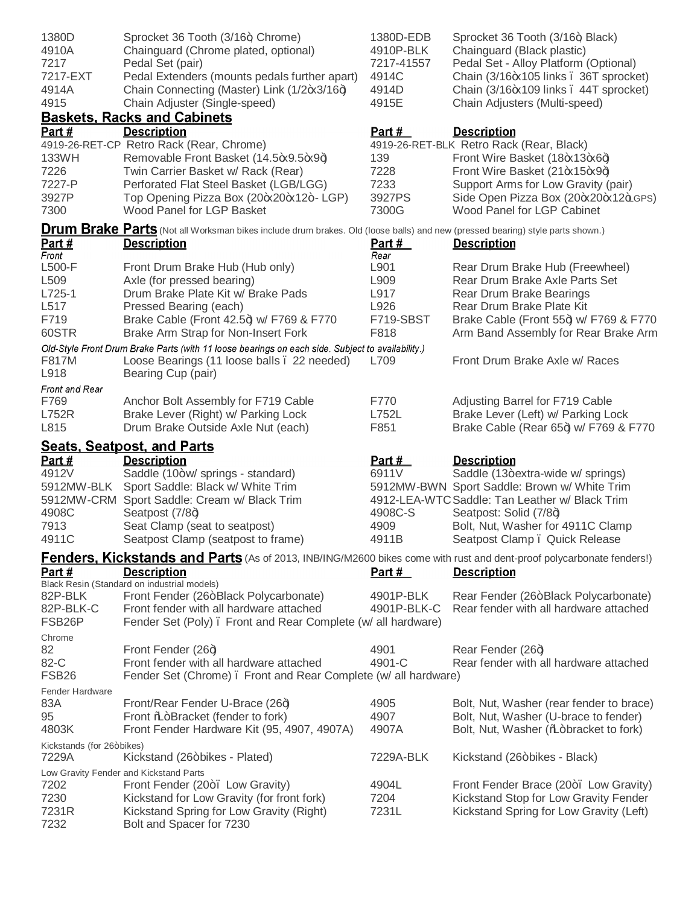| 1380D<br>4910A<br>7217<br>7217-EXT<br>4914A<br>4915<br>Part $#$ | Sprocket 36 Tooth (3/16+, Chrome)<br>Chainguard (Chrome plated, optional)<br>Pedal Set (pair)<br>Pedal Extenders (mounts pedals further apart)<br>Chain Connecting (Master) Link (1/2+x3/16+)<br>Chain Adjuster (Single-speed)<br><b>Baskets, Racks and Cabinets</b><br><b>Description</b>                           | 1380D-EDB<br>4910P-BLK<br>7217-41557<br>4914C<br>4914D<br>4915E<br><u>Part #</u> | Sprocket 36 Tooth (3/16+, Black)<br>Chainguard (Black plastic)<br>Pedal Set - Alloy Platform (Optional)<br>Chain (3/16-x105 links . 36T sprocket)<br>Chain (3/16-x109 links . 44T sprocket)<br>Chain Adjusters (Multi-speed)<br><b>Description</b>         |
|-----------------------------------------------------------------|----------------------------------------------------------------------------------------------------------------------------------------------------------------------------------------------------------------------------------------------------------------------------------------------------------------------|----------------------------------------------------------------------------------|------------------------------------------------------------------------------------------------------------------------------------------------------------------------------------------------------------------------------------------------------------|
| 133WH<br>7226<br>7227-P<br>3927P<br>7300                        | 4919-26-RET-CP Retro Rack (Rear, Chrome)<br>Removable Front Basket (14.5-x9.5-x9+)<br>Twin Carrier Basket w/ Rack (Rear)<br>Perforated Flat Steel Basket (LGB/LGG)<br>Top Opening Pizza Box (20+x20+x12+- LGP)<br>Wood Panel for LGP Basket                                                                          | 139<br>7228<br>7233<br>3927PS<br>7300G                                           | 4919-26-RET-BLK Retro Rack (Rear, Black)<br>Front Wire Basket (18-x13-x6+)<br>Front Wire Basket (21 * 15 * 9 +)<br>Support Arms for Low Gravity (pair)<br>Side Open Pizza Box (20+x20+x12+LGPS)<br>Wood Panel for LGP Cabinet                              |
| Part #                                                          | <b>Drum Brake Parts</b> (Not all Worksman bikes include drum brakes. Old (loose balls) and new (pressed bearing) style parts shown.)<br><b>Description</b>                                                                                                                                                           | <u>Part #</u>                                                                    | <b>Description</b>                                                                                                                                                                                                                                         |
| Front<br>L500-F<br>L509<br>$L725-1$<br>L517<br>F719<br>60STR    | Front Drum Brake Hub (Hub only)<br>Axle (for pressed bearing)<br>Drum Brake Plate Kit w/ Brake Pads<br>Pressed Bearing (each)<br>Brake Cable (Front 42.5+) w/ F769 & F770<br>Brake Arm Strap for Non-Insert Fork<br>Old-Style Front Drum Brake Parts (with 11 loose bearings on each side. Subject to availability.) | Rear<br>L901<br>L909<br>L917<br>L926<br>F719-SBST<br>F818                        | Rear Drum Brake Hub (Freewheel)<br>Rear Drum Brake Axle Parts Set<br>Rear Drum Brake Bearings<br>Rear Drum Brake Plate Kit<br>Brake Cable (Front 55+) w/ F769 & F770<br>Arm Band Assembly for Rear Brake Arm                                               |
| F817M<br>L918                                                   | Loose Bearings (11 loose balls . 22 needed)<br>Bearing Cup (pair)                                                                                                                                                                                                                                                    | L709                                                                             | Front Drum Brake Axle w/ Races                                                                                                                                                                                                                             |
| Front and Rear<br>F769<br><b>L752R</b><br>L815                  | Anchor Bolt Assembly for F719 Cable<br>Brake Lever (Right) w/ Parking Lock<br>Drum Brake Outside Axle Nut (each)                                                                                                                                                                                                     | F770<br>L752L<br>F851                                                            | Adjusting Barrel for F719 Cable<br>Brake Lever (Left) w/ Parking Lock<br>Brake Cable (Rear 65+) w/ F769 & F770                                                                                                                                             |
| <u>Part #</u><br>4912V<br>5912MW-BLK<br>4908C<br>7913<br>4911C  | <b>Seats, Seatpost, and Parts</b><br><b>Description</b><br>Saddle (10+w/ springs - standard)<br>Sport Saddle: Black w/ White Trim<br>5912MW-CRM Sport Saddle: Cream w/ Black Trim<br>Seatpost (7/8+)<br>Seat Clamp (seat to seatpost)<br>Seatpost Clamp (seatpost to frame)                                          | <u>Part #</u><br>6911V<br>4908C-S<br>4909<br>4911B                               | <b>Description</b><br>Saddle (13+extra-wide w/ springs)<br>5912MW-BWN Sport Saddle: Brown w/ White Trim<br>4912-LEA-WTC Saddle: Tan Leather w/ Black Trim<br>Seatpost: Solid (7/8+)<br>Bolt, Nut, Washer for 4911C Clamp<br>Seatpost Clamp . Quick Release |
| Part#                                                           | <b>Fenders, Kickstands and Parts</b> (As of 2013, INB/ING/M2600 bikes come with rust and dent-proof polycarbonate fenders!)<br><b>Description</b>                                                                                                                                                                    | Part $#$                                                                         | <b>Description</b>                                                                                                                                                                                                                                         |
| 82P-BLK<br>82P-BLK-C<br>FSB <sub>26</sub> P                     | Black Resin (Standard on industrial models)<br>Front Fender (26+Black Polycarbonate)<br>Front fender with all hardware attached<br>Fender Set (Poly). Front and Rear Complete (w/ all hardware)                                                                                                                      | 4901P-BLK<br>4901P-BLK-C                                                         | Rear Fender (26+Black Polycarbonate)<br>Rear fender with all hardware attached                                                                                                                                                                             |
| Chrome<br>82<br>82-C<br>FSB <sub>26</sub>                       | Front Fender (26+)<br>Front fender with all hardware attached<br>Fender Set (Chrome). Front and Rear Complete (w/ all hardware)                                                                                                                                                                                      | 4901<br>4901-C                                                                   | Rear Fender (26+)<br>Rear fender with all hardware attached                                                                                                                                                                                                |
| <b>Fender Hardware</b><br>83A<br>95<br>4803K                    | Front/Rear Fender U-Brace (26+)<br>Front % Bracket (fender to fork)<br>Front Fender Hardware Kit (95, 4907, 4907A)                                                                                                                                                                                                   | 4905<br>4907<br>4907A                                                            | Bolt, Nut, Washer (rear fender to brace)<br>Bolt, Nut, Washer (U-brace to fender)<br>Bolt, Nut, Washer (‰+bracket to fork)                                                                                                                                 |
| Kickstands (for 26+bikes)<br>7229A                              | Kickstand (26+bikes - Plated)                                                                                                                                                                                                                                                                                        | 7229A-BLK                                                                        | Kickstand (26+bikes - Black)                                                                                                                                                                                                                               |
| 7202<br>7230<br>7231R<br>7232                                   | Low Gravity Fender and Kickstand Parts<br>Front Fender (20+. Low Gravity)<br>Kickstand for Low Gravity (for front fork)<br>Kickstand Spring for Low Gravity (Right)<br>Bolt and Spacer for 7230                                                                                                                      | 4904L<br>7204<br>7231L                                                           | Front Fender Brace (20+. Low Gravity)<br>Kickstand Stop for Low Gravity Fender<br>Kickstand Spring for Low Gravity (Left)                                                                                                                                  |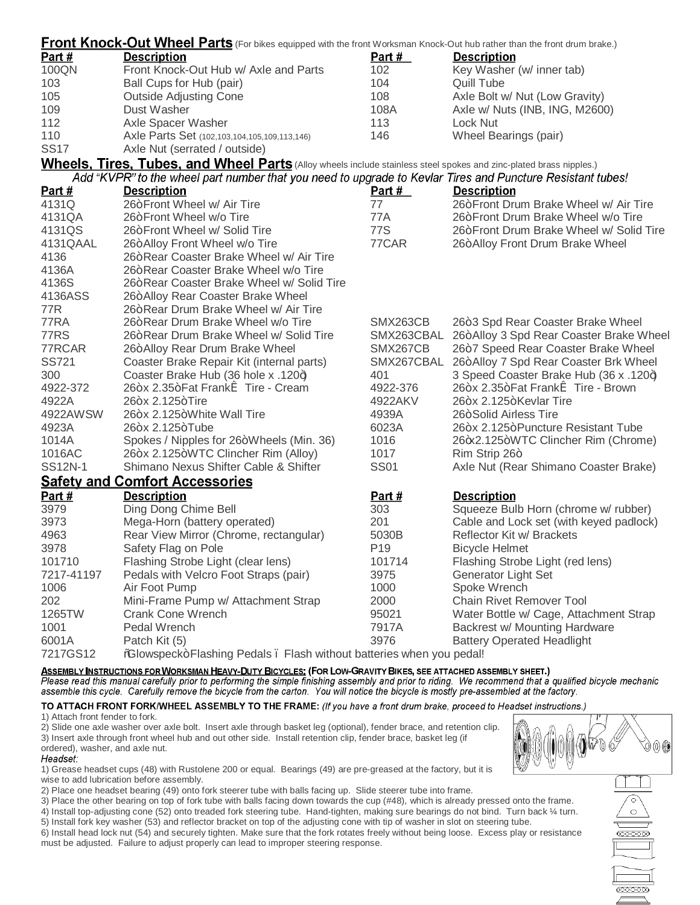| Front Knock-Out Wheel Parts (For bikes equipped with the front Worksman Knock-Out hub rather than the front drum brake.) |                                                                                                                    |                 |                                         |
|--------------------------------------------------------------------------------------------------------------------------|--------------------------------------------------------------------------------------------------------------------|-----------------|-----------------------------------------|
| <u>Part #</u>                                                                                                            | <b>Description</b>                                                                                                 | Part $#$        | <b>Description</b>                      |
| 100QN                                                                                                                    | Front Knock-Out Hub w/ Axle and Parts                                                                              | 102             | Key Washer (w/ inner tab)               |
| 103                                                                                                                      | Ball Cups for Hub (pair)                                                                                           | 104             | Quill Tube                              |
| 105                                                                                                                      | <b>Outside Adjusting Cone</b>                                                                                      | 108             | Axle Bolt w/ Nut (Low Gravity)          |
| 109                                                                                                                      | Dust Washer                                                                                                        | 108A            | Axle w/ Nuts (INB, ING, M2600)          |
| 112                                                                                                                      | Axle Spacer Washer                                                                                                 | 113             | Lock Nut                                |
| 110                                                                                                                      | Axle Parts Set (102,103,104,105,109,113,146)                                                                       | 146             | Wheel Bearings (pair)                   |
| SS17                                                                                                                     | Axle Nut (serrated / outside)                                                                                      |                 |                                         |
|                                                                                                                          | Wheels, Tires, Tubes, and Wheel Parts (Alloy wheels include stainless steel spokes and zinc-plated brass nipples.) |                 |                                         |
|                                                                                                                          | Add "KVPR" to the wheel part number that you need to upgrade to Kevlar Tires and Puncture Resistant tubes!         |                 |                                         |
| <u>Part #</u>                                                                                                            | <b>Description</b>                                                                                                 | Part $#$        | <b>Description</b>                      |
| 4131Q                                                                                                                    | 26+Front Wheel w/ Air Tire                                                                                         | 77              | 26+Front Drum Brake Wheel w/ Air Tire   |
| 4131QA                                                                                                                   | 26+Front Wheel w/o Tire                                                                                            | 77A             | 26+Front Drum Brake Wheel w/o Tire      |
| 4131QS                                                                                                                   | 26+Front Wheel w/ Solid Tire                                                                                       | 77S             | 26+Front Drum Brake Wheel w/ Solid Tire |
| 4131QAAL                                                                                                                 | 26+Alloy Front Wheel w/o Tire                                                                                      | 77CAR           | 26+Alloy Front Drum Brake Wheel         |
| 4136                                                                                                                     | 26+Rear Coaster Brake Wheel w/ Air Tire                                                                            |                 |                                         |
| 4136A                                                                                                                    | 26+Rear Coaster Brake Wheel w/o Tire                                                                               |                 |                                         |
| 4136S                                                                                                                    | 26+Rear Coaster Brake Wheel w/ Solid Tire                                                                          |                 |                                         |
| 4136ASS                                                                                                                  | 26+Alloy Rear Coaster Brake Wheel                                                                                  |                 |                                         |
| 77R                                                                                                                      | 26+Rear Drum Brake Wheel w/ Air Tire                                                                               |                 |                                         |
| 77RA                                                                                                                     | 26+Rear Drum Brake Wheel w/o Tire                                                                                  | SMX263CB        | 26+3 Spd Rear Coaster Brake Wheel       |
| 77RS                                                                                                                     | 26+Rear Drum Brake Wheel w/ Solid Tire                                                                             | SMX263CBAL      | 26+Alloy 3 Spd Rear Coaster Brake Wheel |
| 77RCAR                                                                                                                   | 26+Alloy Rear Drum Brake Wheel                                                                                     | SMX267CB        | 26+7 Speed Rear Coaster Brake Wheel     |
| <b>SS721</b>                                                                                                             | Coaster Brake Repair Kit (internal parts)                                                                          | SMX267CBAL      | 26+Alloy 7 Spd Rear Coaster Brk Wheel   |
| 300                                                                                                                      | Coaster Brake Hub (36 hole x .120+)                                                                                | 401             | 3 Speed Coaster Brake Hub (36 x .120+)  |
| 4922-372                                                                                                                 | 26+x 2.35+Fat Franki Tire - Cream                                                                                  | 4922-376        | 26+x 2.35+Fat Franki Tire - Brown       |
| 4922A                                                                                                                    | 26+x 2.125+Tire                                                                                                    | 4922AKV         | 26+x 2.125+Kevlar Tire                  |
| 4922AWSW                                                                                                                 | 26+x 2.125+White Wall Tire                                                                                         | 4939A           | 26+Solid Airless Tire                   |
| 4923A                                                                                                                    | 26+x 2.125+Tube                                                                                                    | 6023A           | 26+x 2.125+Puncture Resistant Tube      |
| 1014A                                                                                                                    | Spokes / Nipples for 26+Wheels (Min. 36)                                                                           | 1016            | 26+x2.125+WTC Clincher Rim (Chrome)     |
| 1016AC                                                                                                                   | 26+x 2.125+WTC Clincher Rim (Alloy)                                                                                | 1017            | Rim Strip 26+                           |
| SS12N-1                                                                                                                  | Shimano Nexus Shifter Cable & Shifter                                                                              | <b>SS01</b>     | Axle Nut (Rear Shimano Coaster Brake)   |
|                                                                                                                          | Safety and Comfort Accessories                                                                                     |                 |                                         |
| <u>Part #</u>                                                                                                            | <b>Description</b>                                                                                                 | <u>Part #</u>   | <b>Description</b>                      |
| 3979                                                                                                                     | Ding Dong Chime Bell                                                                                               | 303             | Squeeze Bulb Horn (chrome w/ rubber)    |
| 3973                                                                                                                     | Mega-Horn (battery operated)                                                                                       | 201             | Cable and Lock set (with keyed padlock) |
| 4963                                                                                                                     | Rear View Mirror (Chrome, rectangular)                                                                             | 5030B           | Reflector Kit w/ Brackets               |
| 3978                                                                                                                     | Safety Flag on Pole                                                                                                | P <sub>19</sub> | <b>Bicycle Helmet</b>                   |
| 101710                                                                                                                   | Flashing Strobe Light (clear lens)                                                                                 | 101714          | Flashing Strobe Light (red lens)        |
| 7217-41197                                                                                                               | Pedals with Velcro Foot Straps (pair)                                                                              | 3975            | <b>Generator Light Set</b>              |
| 1006                                                                                                                     | Air Foot Pump                                                                                                      | 1000            | Spoke Wrench                            |
| 202                                                                                                                      | Mini-Frame Pump w/ Attachment Strap                                                                                | 2000            | <b>Chain Rivet Remover Tool</b>         |
| 1265TW                                                                                                                   | <b>Crank Cone Wrench</b>                                                                                           | 95021           | Water Bottle w/ Cage, Attachment Strap  |
| 1001                                                                                                                     | Pedal Wrench                                                                                                       | 7917A           | Backrest w/ Mounting Hardware           |
| 6001A                                                                                                                    | Patch Kit (5)                                                                                                      | 3976            | <b>Battery Operated Headlight</b>       |
| 7217GS12                                                                                                                 | %Glowspeck+Flashing Pedals. Flash without batteries when you pedal!                                                |                 |                                         |

ASSEMBLY INSTRUCTIONS FOR WORKSMAN HEAVY-DUTY BICYCLES: (FOR LOW-GRAVITY BIKES, SEE ATTACHED ASSEMBLY SHEET.)<br>Please read this manual carefully prior to performing the simple finishing assembly and prior to riding. We reco assemble this cycle. Carefully remove the bicycle from the carton. You will notice the bicycle is mostly pre-assembled at the factory.

# TO ATTACH FRONT FORK/WHEEL ASSEMBLY TO THE FRAME: (If you have a front drum brake, proceed to Headset instructions.)

1) Attach front fender to fork.

2) Slide one axle washer over axle bolt. Insert axle through basket leg (optional), fender brace, and retention clip. 3) Insert axle through front wheel hub and out other side. Install retention clip, fender brace, basket leg (if ordered), washer, and axle nut.

# Headset:

1) Grease headset cups (48) with Rustolene 200 or equal. Bearings (49) are pre-greased at the factory, but it is wise to add lubrication before assembly.

2) Place one headset bearing (49) onto fork steerer tube with balls facing up. Slide steerer tube into frame.

3) Place the other bearing on top of fork tube with balls facing down towards the cup (#48), which is already pressed onto the frame. 4) Install top-adjusting cone (52) onto treaded fork steering tube. Hand-tighten, making sure bearings do not bind. Turn back ¼ turn.

5) Install fork key washer (53) and reflector bracket on top of the adjusting cone with tip of washer in slot on steering tube. 6) Install head lock nut (54) and securely tighten. Make sure that the fork rotates freely without being loose. Excess play or resistance must be adjusted. Failure to adjust properly can lead to improper steering response.



0000000